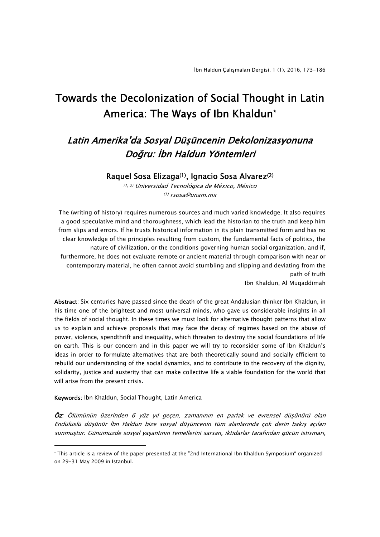# Towards the Decolonization of Social Thought in Latin America: The Ways of Ibn Khaldun\*

## Latin Amerika'da Sosyal Düşüncenin Dekolonizasyonuna Doğru: İbn Haldun Yöntemleri

## Raquel Sosa Elizaga(1), Ignacio Sosa Alvarez(2)

(1, 2) Universidad Tecnológica de México, México (1) rsosa@unam.mx

The (writing of history) requires numerous sources and much varied knowledge. It also requires a good speculative mind and thoroughness, which lead the historian to the truth and keep him from slips and errors. If he trusts historical information in its plain transmitted form and has no clear knowledge of the principles resulting from custom, the fundamental facts of politics, the nature of civilization, or the conditions governing human social organization, and if, furthermore, he does not evaluate remote or ancient material through comparison with near or contemporary material, he often cannot avoid stumbling and slipping and deviating from the path of truth

Ibn Khaldun, Al Muqaddimah

Abstract: Six centuries have passed since the death of the great Andalusian thinker Ibn Khaldun, in his time one of the brightest and most universal minds, who gave us considerable insights in all the fields of social thought. In these times we must look for alternative thought patterns that allow us to explain and achieve proposals that may face the decay of regimes based on the abuse of power, violence, spendthrift and inequality, which threaten to destroy the social foundations of life on earth. This is our concern and in this paper we will try to reconsider some of Ibn Khaldun's ideas in order to formulate alternatives that are both theoretically sound and socially efficient to rebuild our understanding of the social dynamics, and to contribute to the recovery of the dignity, solidarity, justice and austerity that can make collective life a viable foundation for the world that will arise from the present crisis.

Keywords: Ibn Khaldun, Social Thought, Latin America

1

Öz: Ölümünün üzerinden 6 yüz yıl geçen, zamanının en parlak ve evrensel düşünürü olan Endülüslü düşünür İbn Haldun bize sosyal düşüncenin tüm alanlarında çok derin bakış açıları sunmuştur. Günümüzde sosyal yaşantının temellerini sarsan, iktidarlar tarafından gücün istismarı,

<sup>\*</sup> This article is a review of the paper presented at the "2nd International Ibn Khaldun Symposium" organized on 29-31 May 2009 in Istanbul.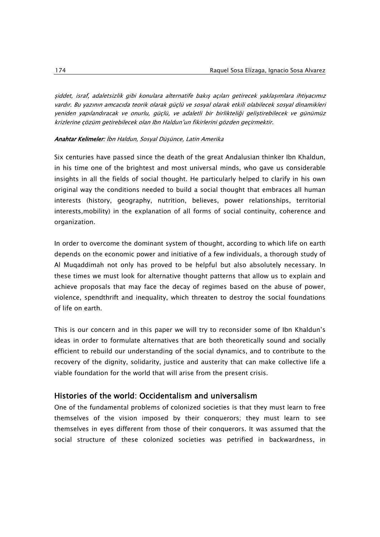şiddet, israf, adaletsizlik gibi konulara alternatife bakış açıları getirecek yaklaşımlara ihtiyacımız vardır. Bu yazının amcacıda teorik olarak güçlü ve sosyal olarak etkili olabilecek sosyal dinamikleri yeniden yapılandıracak ve onurlu, güçlü, ve adaletli bir birlikteliği geliştirebilecek ve günümüz krizlerine çözüm getirebilecek olan Ibn Haldun'un fikirlerini gözden geçirmektir.

#### Anahtar Kelimeler: İbn Haldun, Sosyal Düşünce, Latin Amerika

Six centuries have passed since the death of the great Andalusian thinker Ibn Khaldun, in his time one of the brightest and most universal minds, who gave us considerable insights in all the fields of social thought. He particularly helped to clarify in his own original way the conditions needed to build a social thought that embraces all human interests (history, geography, nutrition, believes, power relationships, territorial interests,mobility) in the explanation of all forms of social continuity, coherence and organization.

In order to overcome the dominant system of thought, according to which life on earth depends on the economic power and initiative of a few individuals, a thorough study of Al Muqaddimah not only has proved to be helpful but also absolutely necessary. In these times we must look for alternative thought patterns that allow us to explain and achieve proposals that may face the decay of regimes based on the abuse of power, violence, spendthrift and inequality, which threaten to destroy the social foundations of life on earth.

This is our concern and in this paper we will try to reconsider some of Ibn Khaldun's ideas in order to formulate alternatives that are both theoretically sound and socially efficient to rebuild our understanding of the social dynamics, and to contribute to the recovery of the dignity, solidarity, justice and austerity that can make collective life a viable foundation for the world that will arise from the present crisis.

## Histories of the world: Occidentalism and universalism

One of the fundamental problems of colonized societies is that they must learn to free themselves of the vision imposed by their conquerors; they must learn to see themselves in eyes different from those of their conquerors. It was assumed that the social structure of these colonized societies was petrified in backwardness, in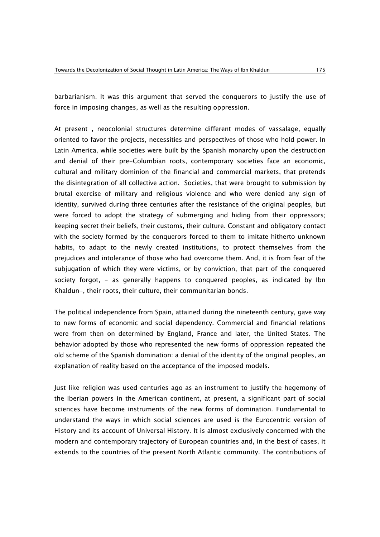barbarianism. It was this argument that served the conquerors to justify the use of force in imposing changes, as well as the resulting oppression.

At present , neocolonial structures determine different modes of vassalage, equally oriented to favor the projects, necessities and perspectives of those who hold power. In Latin America, while societies were built by the Spanish monarchy upon the destruction and denial of their pre-Columbian roots, contemporary societies face an economic, cultural and military dominion of the financial and commercial markets, that pretends the disintegration of all collective action. Societies, that were brought to submission by brutal exercise of military and religious violence and who were denied any sign of identity, survived during three centuries after the resistance of the original peoples, but were forced to adopt the strategy of submerging and hiding from their oppressors; keeping secret their beliefs, their customs, their culture. Constant and obligatory contact with the society formed by the conquerors forced to them to imitate hitherto unknown habits, to adapt to the newly created institutions, to protect themselves from the prejudices and intolerance of those who had overcome them. And, it is from fear of the subjugation of which they were victims, or by conviction, that part of the conquered society forgot, - as generally happens to conquered peoples, as indicated by Ibn Khaldun-, their roots, their culture, their communitarian bonds.

The political independence from Spain, attained during the nineteenth century, gave way to new forms of economic and social dependency. Commercial and financial relations were from then on determined by England, France and later, the United States. The behavior adopted by those who represented the new forms of oppression repeated the old scheme of the Spanish domination: a denial of the identity of the original peoples, an explanation of reality based on the acceptance of the imposed models.

Just like religion was used centuries ago as an instrument to justify the hegemony of the Iberian powers in the American continent, at present, a significant part of social sciences have become instruments of the new forms of domination. Fundamental to understand the ways in which social sciences are used is the Eurocentric version of History and its account of Universal History. It is almost exclusively concerned with the modern and contemporary trajectory of European countries and, in the best of cases, it extends to the countries of the present North Atlantic community. The contributions of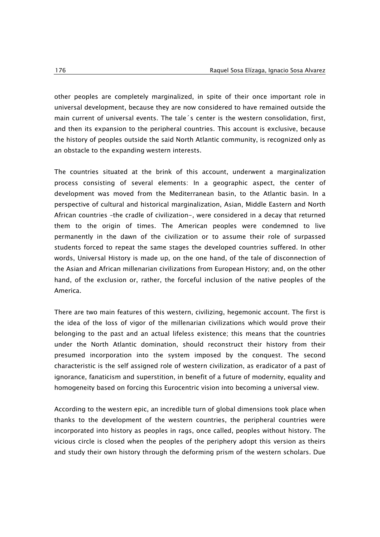other peoples are completely marginalized, in spite of their once important role in universal development, because they are now considered to have remained outside the main current of universal events. The tale´s center is the western consolidation, first, and then its expansion to the peripheral countries. This account is exclusive, because the history of peoples outside the said North Atlantic community, is recognized only as an obstacle to the expanding western interests.

The countries situated at the brink of this account, underwent a marginalization process consisting of several elements: In a geographic aspect, the center of development was moved from the Mediterranean basin, to the Atlantic basin. In a perspective of cultural and historical marginalization, Asian, Middle Eastern and North African countries –the cradle of civilization-, were considered in a decay that returned them to the origin of times. The American peoples were condemned to live permanently in the dawn of the civilization or to assume their role of surpassed students forced to repeat the same stages the developed countries suffered. In other words, Universal History is made up, on the one hand, of the tale of disconnection of the Asian and African millenarian civilizations from European History; and, on the other hand, of the exclusion or, rather, the forceful inclusion of the native peoples of the America.

There are two main features of this western, civilizing, hegemonic account. The first is the idea of the loss of vigor of the millenarian civilizations which would prove their belonging to the past and an actual lifeless existence; this means that the countries under the North Atlantic domination, should reconstruct their history from their presumed incorporation into the system imposed by the conquest. The second characteristic is the self assigned role of western civilization, as eradicator of a past of ignorance, fanaticism and superstition, in benefit of a future of modernity, equality and homogeneity based on forcing this Eurocentric vision into becoming a universal view.

According to the western epic, an incredible turn of global dimensions took place when thanks to the development of the western countries, the peripheral countries were incorporated into history as peoples in rags, once called, peoples without history. The vicious circle is closed when the peoples of the periphery adopt this version as theirs and study their own history through the deforming prism of the western scholars. Due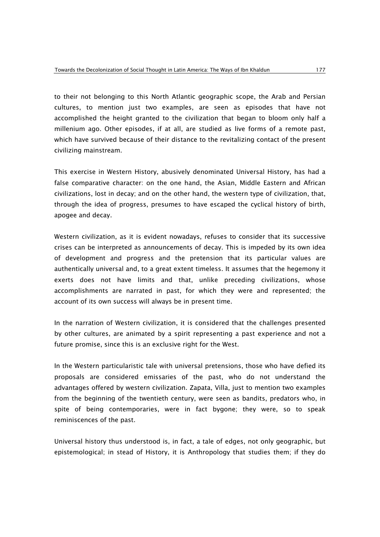to their not belonging to this North Atlantic geographic scope, the Arab and Persian cultures, to mention just two examples, are seen as episodes that have not accomplished the height granted to the civilization that began to bloom only half a millenium ago. Other episodes, if at all, are studied as live forms of a remote past, which have survived because of their distance to the revitalizing contact of the present civilizing mainstream.

This exercise in Western History, abusively denominated Universal History, has had a false comparative character: on the one hand, the Asian, Middle Eastern and African civilizations, lost in decay; and on the other hand, the western type of civilization, that, through the idea of progress, presumes to have escaped the cyclical history of birth, apogee and decay.

Western civilization, as it is evident nowadays, refuses to consider that its successive crises can be interpreted as announcements of decay. This is impeded by its own idea of development and progress and the pretension that its particular values are authentically universal and, to a great extent timeless. It assumes that the hegemony it exerts does not have limits and that, unlike preceding civilizations, whose accomplishments are narrated in past, for which they were and represented; the account of its own success will always be in present time.

In the narration of Western civilization, it is considered that the challenges presented by other cultures, are animated by a spirit representing a past experience and not a future promise, since this is an exclusive right for the West.

In the Western particularistic tale with universal pretensions, those who have defied its proposals are considered emissaries of the past, who do not understand the advantages offered by western civilization. Zapata, Villa, just to mention two examples from the beginning of the twentieth century, were seen as bandits, predators who, in spite of being contemporaries, were in fact bygone; they were, so to speak reminiscences of the past.

Universal history thus understood is, in fact, a tale of edges, not only geographic, but epistemological; in stead of History, it is Anthropology that studies them; if they do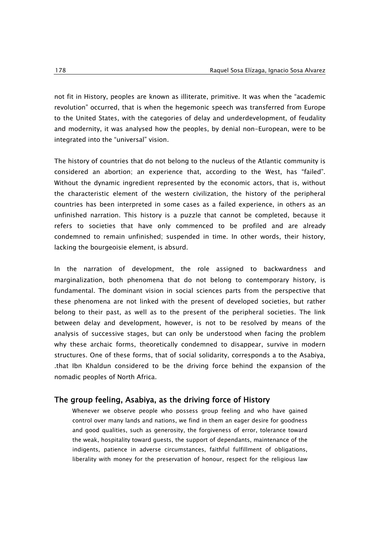not fit in History, peoples are known as illiterate, primitive. It was when the "academic revolution" occurred, that is when the hegemonic speech was transferred from Europe to the United States, with the categories of delay and underdevelopment, of feudality and modernity, it was analysed how the peoples, by denial non-European, were to be integrated into the "universal" vision.

The history of countries that do not belong to the nucleus of the Atlantic community is considered an abortion; an experience that, according to the West, has "failed". Without the dynamic ingredient represented by the economic actors, that is, without the characteristic element of the western civilization, the history of the peripheral countries has been interpreted in some cases as a failed experience, in others as an unfinished narration. This history is a puzzle that cannot be completed, because it refers to societies that have only commenced to be profiled and are already condemned to remain unfinished; suspended in time. In other words, their history, lacking the bourgeoisie element, is absurd.

In the narration of development, the role assigned to backwardness and marginalization, both phenomena that do not belong to contemporary history, is fundamental. The dominant vision in social sciences parts from the perspective that these phenomena are not linked with the present of developed societies, but rather belong to their past, as well as to the present of the peripheral societies. The link between delay and development, however, is not to be resolved by means of the analysis of successive stages, but can only be understood when facing the problem why these archaic forms, theoretically condemned to disappear, survive in modern structures. One of these forms, that of social solidarity, corresponds a to the Asabiya, .that Ibn Khaldun considered to be the driving force behind the expansion of the nomadic peoples of North Africa.

## The group feeling, Asabiya, as the driving force of History

Whenever we observe people who possess group feeling and who have gained control over many lands and nations, we find in them an eager desire for goodness and good qualities, such as generosity, the forgiveness of error, tolerance toward the weak, hospitality toward guests, the support of dependants, maintenance of the indigents, patience in adverse circumstances, faithful fulfillment of obligations, liberality with money for the preservation of honour, respect for the religious law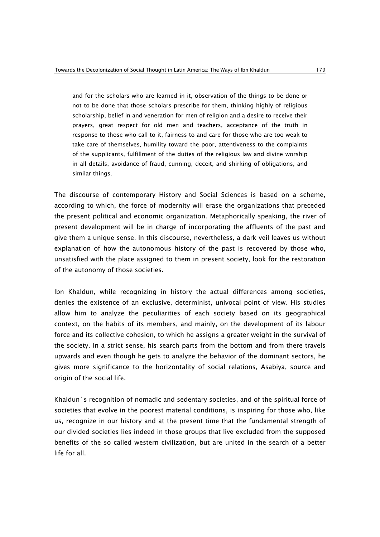and for the scholars who are learned in it, observation of the things to be done or not to be done that those scholars prescribe for them, thinking highly of religious scholarship, belief in and veneration for men of religion and a desire to receive their prayers, great respect for old men and teachers, acceptance of the truth in response to those who call to it, fairness to and care for those who are too weak to take care of themselves, humility toward the poor, attentiveness to the complaints of the supplicants, fulfillment of the duties of the religious law and divine worship in all details, avoidance of fraud, cunning, deceit, and shirking of obligations, and similar things.

The discourse of contemporary History and Social Sciences is based on a scheme, according to which, the force of modernity will erase the organizations that preceded the present political and economic organization. Metaphorically speaking, the river of present development will be in charge of incorporating the affluents of the past and give them a unique sense. In this discourse, nevertheless, a dark veil leaves us without explanation of how the autonomous history of the past is recovered by those who, unsatisfied with the place assigned to them in present society, look for the restoration of the autonomy of those societies.

Ibn Khaldun, while recognizing in history the actual differences among societies, denies the existence of an exclusive, determinist, univocal point of view. His studies allow him to analyze the peculiarities of each society based on its geographical context, on the habits of its members, and mainly, on the development of its labour force and its collective cohesion, to which he assigns a greater weight in the survival of the society. In a strict sense, his search parts from the bottom and from there travels upwards and even though he gets to analyze the behavior of the dominant sectors, he gives more significance to the horizontality of social relations, Asabiya, source and origin of the social life.

Khaldun´s recognition of nomadic and sedentary societies, and of the spiritual force of societies that evolve in the poorest material conditions, is inspiring for those who, like us, recognize in our history and at the present time that the fundamental strength of our divided societies lies indeed in those groups that live excluded from the supposed benefits of the so called western civilization, but are united in the search of a better life for all.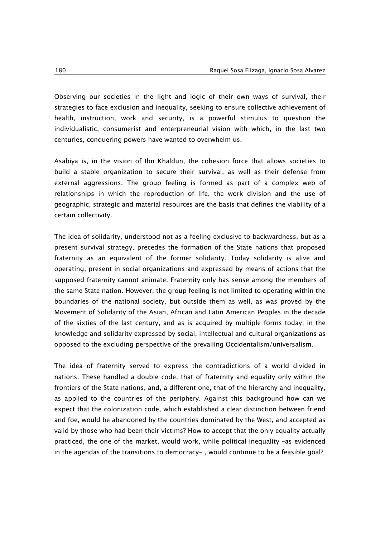Observing our societies in the light and logic of their own ways of survival, their strategies to face exclusion and inequality, seeking to ensure collective achievement of health, instruction, work and security, is a powerful stimulus to question the individualistic, consumerist and enterpreneurial vision with which, in the last two centuries, conquering powers have wanted to overwhelm us.

Asabiya is, in the vision of Ibn Khaldun, the cohesion force that allows societies to build a stable organization to secure their survival, as well as their defense from external aggressions. The group feeling is formed as part of a complex web of relationships in which the reproduction of life, the work division and the use of geographic, strategic and material resources are the basis that defines the viability of a certain collectivity.

The idea of solidarity, understood not as a feeling exclusive to backwardness, but as a present survival strategy, precedes the formation of the State nations that proposed fraternity as an equivalent of the former solidarity. Today solidarity is alive and operating, present in social organizations and expressed by means of actions that the supposed fraternity cannot animate. Fraternity only has sense among the members of the same State nation. However, the group feeling is not limited to operating within the boundaries of the national society, but outside them as well, as was proved by the Movement of Solidarity of the Asian, African and Latin American Peoples in the decade of the sixties of the last century, and as is acquired by multiple forms today, in the knowledge and solidarity expressed by social, intellectual and cultural organizations as opposed to the excluding perspective of the prevailing Occidentalism/universalism.

The idea of fraternity served to express the contradictions of a world divided in nations. These handled a double code, that of fraternity and equality only within the frontiers of the State nations, and, a different one, that of the hierarchy and inequality, as applied to the countries of the periphery. Against this background how can we expect that the colonization code, which established a clear distinction between friend and foe, would be abandoned by the countries dominated by the West, and accepted as valid by those who had been their victims? How to accept that the only equality actually practiced, the one of the market, would work, while political inequality –as evidenced in the agendas of the transitions to democracy- , would continue to be a feasible goal?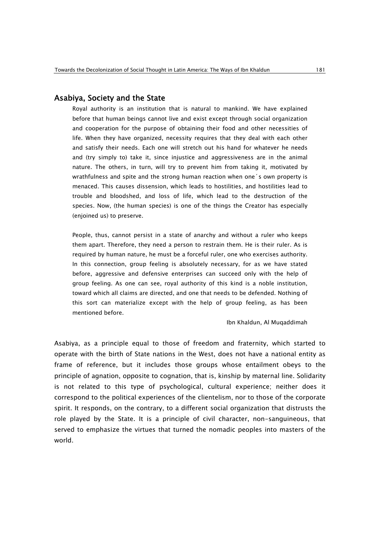#### Asabiya, Society and the State

Royal authority is an institution that is natural to mankind. We have explained before that human beings cannot live and exist except through social organization and cooperation for the purpose of obtaining their food and other necessities of life. When they have organized, necessity requires that they deal with each other and satisfy their needs. Each one will stretch out his hand for whatever he needs and (try simply to) take it, since injustice and aggressiveness are in the animal nature. The others, in turn, will try to prevent him from taking it, motivated by wrathfulness and spite and the strong human reaction when one´s own property is menaced. This causes dissension, which leads to hostilities, and hostilities lead to trouble and bloodshed, and loss of life, which lead to the destruction of the species. Now, (the human species) is one of the things the Creator has especially (enjoined us) to preserve.

People, thus, cannot persist in a state of anarchy and without a ruler who keeps them apart. Therefore, they need a person to restrain them. He is their ruler. As is required by human nature, he must be a forceful ruler, one who exercises authority. In this connection, group feeling is absolutely necessary, for as we have stated before, aggressive and defensive enterprises can succeed only with the help of group feeling. As one can see, royal authority of this kind is a noble institution, toward which all claims are directed, and one that needs to be defended. Nothing of this sort can materialize except with the help of group feeling, as has been mentioned before.

Ibn Khaldun, Al Muqaddimah

Asabiya, as a principle equal to those of freedom and fraternity, which started to operate with the birth of State nations in the West, does not have a national entity as frame of reference, but it includes those groups whose entailment obeys to the principle of agnation, opposite to cognation, that is, kinship by maternal line. Solidarity is not related to this type of psychological, cultural experience; neither does it correspond to the political experiences of the clientelism, nor to those of the corporate spirit. It responds, on the contrary, to a different social organization that distrusts the role played by the State. It is a principle of civil character, non-sanguineous, that served to emphasize the virtues that turned the nomadic peoples into masters of the world.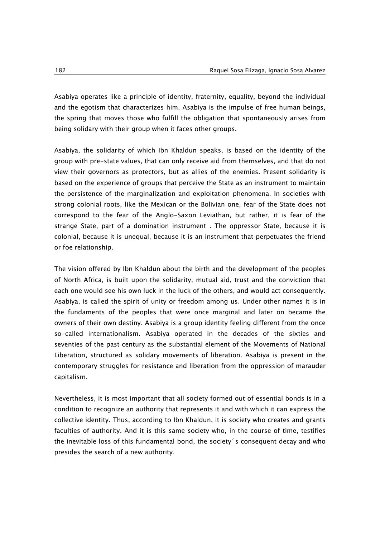Asabiya operates like a principle of identity, fraternity, equality, beyond the individual and the egotism that characterizes him. Asabiya is the impulse of free human beings, the spring that moves those who fulfill the obligation that spontaneously arises from being solidary with their group when it faces other groups.

Asabiya, the solidarity of which Ibn Khaldun speaks, is based on the identity of the group with pre-state values, that can only receive aid from themselves, and that do not view their governors as protectors, but as allies of the enemies. Present solidarity is based on the experience of groups that perceive the State as an instrument to maintain the persistence of the marginalization and exploitation phenomena. In societies with strong colonial roots, like the Mexican or the Bolivian one, fear of the State does not correspond to the fear of the Anglo-Saxon Leviathan, but rather, it is fear of the strange State, part of a domination instrument . The oppressor State, because it is colonial, because it is unequal, because it is an instrument that perpetuates the friend or foe relationship.

The vision offered by Ibn Khaldun about the birth and the development of the peoples of North Africa, is built upon the solidarity, mutual aid, trust and the conviction that each one would see his own luck in the luck of the others, and would act consequently. Asabiya, is called the spirit of unity or freedom among us. Under other names it is in the fundaments of the peoples that were once marginal and later on became the owners of their own destiny. Asabiya is a group identity feeling different from the once so-called internationalism. Asabiya operated in the decades of the sixties and seventies of the past century as the substantial element of the Movements of National Liberation, structured as solidary movements of liberation. Asabiya is present in the contemporary struggles for resistance and liberation from the oppression of marauder capitalism.

Nevertheless, it is most important that all society formed out of essential bonds is in a condition to recognize an authority that represents it and with which it can express the collective identity. Thus, according to Ibn Khaldun, it is society who creates and grants faculties of authority. And it is this same society who, in the course of time, testifies the inevitable loss of this fundamental bond, the society´s consequent decay and who presides the search of a new authority.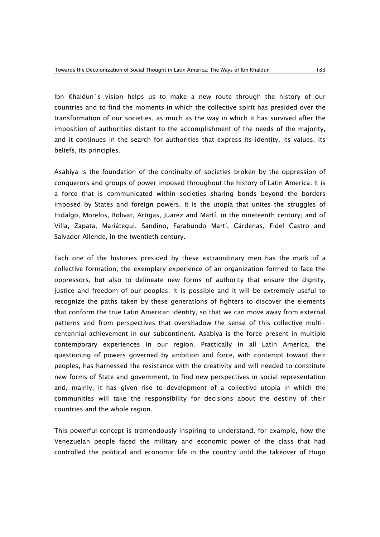Ibn Khaldun´s vision helps us to make a new route through the history of our countries and to find the moments in which the collective spirit has presided over the transformation of our societies, as much as the way in which it has survived after the imposition of authorities distant to the accomplishment of the needs of the majority, and it continues in the search for authorities that express its identity, its values, its beliefs, its principles.

Asabiya is the foundation of the continuity of societies broken by the oppression of conquerors and groups of power imposed throughout the history of Latin America. It is a force that is communicated within societies sharing bonds beyond the borders imposed by States and foreign powers. It is the utopia that unites the struggles of Hidalgo, Morelos, Bolivar, Artigas, Juarez and Martí, in the nineteenth century; and of Villa, Zapata, Mariátegui, Sandino, Farabundo Martí, Cárdenas, Fidel Castro and Salvador Allende, in the twentieth century.

Each one of the histories presided by these extraordinary men has the mark of a collective formation, the exemplary experience of an organization formed to face the oppressors, but also to delineate new forms of authority that ensure the dignity, justice and freedom of our peoples. It is possible and it will be extremely useful to recognize the paths taken by these generations of fighters to discover the elements that conform the true Latin American identity, so that we can move away from external patterns and from perspectives that overshadow the sense of this collective multicentennial achievement in our subcontinent. Asabiya is the force present in multiple contemporary experiences in our region. Practically in all Latin America, the questioning of powers governed by ambition and force, with contempt toward their peoples, has harnessed the resistance with the creativity and will needed to constitute new forms of State and government, to find new perspectives in social representation and, mainly, it has given rise to development of a collective utopia in which the communities will take the responsibility for decisions about the destiny of their countries and the whole region.

This powerful concept is tremendously inspiring to understand, for example, how the Venezuelan people faced the military and economic power of the class that had controlled the political and economic life in the country until the takeover of Hugo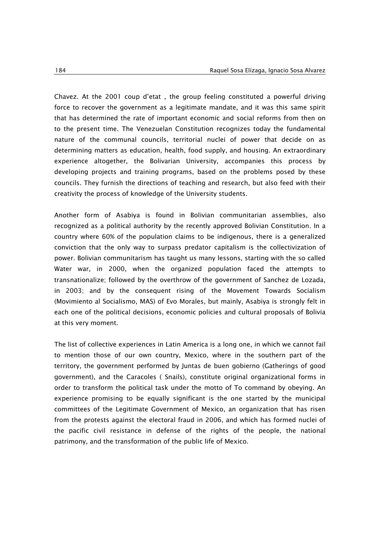Chavez. At the 2001 coup d'etat , the group feeling constituted a powerful driving force to recover the government as a legitimate mandate, and it was this same spirit that has determined the rate of important economic and social reforms from then on to the present time. The Venezuelan Constitution recognizes today the fundamental nature of the communal councils, territorial nuclei of power that decide on as determining matters as education, health, food supply, and housing. An extraordinary experience altogether, the Bolivarian University, accompanies this process by developing projects and training programs, based on the problems posed by these councils. They furnish the directions of teaching and research, but also feed with their creativity the process of knowledge of the University students.

Another form of Asabiya is found in Bolivian communitarian assemblies, also recognized as a political authority by the recently approved Bolivian Constitution. In a country where 60% of the population claims to be indigenous, there is a generalized conviction that the only way to surpass predator capitalism is the collectivization of power. Bolivian communitarism has taught us many lessons, starting with the so called Water war, in 2000, when the organized population faced the attempts to transnationalize; followed by the overthrow of the government of Sanchez de Lozada, in 2003; and by the consequent rising of the Movement Towards Socialism (Movimiento al Socialismo, MAS) of Evo Morales, but mainly, Asabiya is strongly felt in each one of the political decisions, economic policies and cultural proposals of Bolivia at this very moment.

The list of collective experiences in Latin America is a long one, in which we cannot fail to mention those of our own country, Mexico, where in the southern part of the territory, the government performed by Juntas de buen gobierno (Gatherings of good government), and the Caracoles ( Snails), constitute original organizational forms in order to transform the political task under the motto of To command by obeying. An experience promising to be equally significant is the one started by the municipal committees of the Legitimate Government of Mexico, an organization that has risen from the protests against the electoral fraud in 2006, and which has formed nuclei of the pacific civil resistance in defense of the rights of the people, the national patrimony, and the transformation of the public life of Mexico.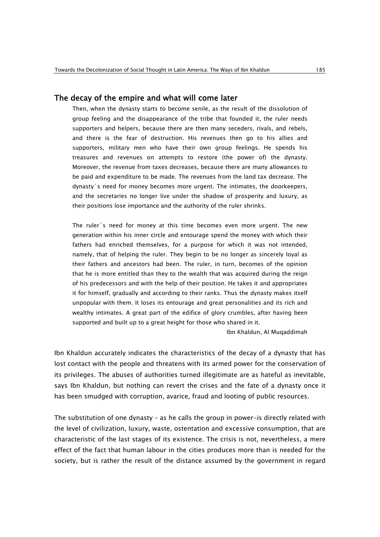## The decay of the empire and what will come later

Then, when the dynasty starts to become senile, as the result of the dissolution of group feeling and the disappearance of the tribe that founded it, the ruler needs supporters and helpers, because there are then many seceders, rivals, and rebels, and there is the fear of destruction. His revenues then go to his allies and supporters, military men who have their own group feelings. He spends his treasures and revenues on attempts to restore (the power of) the dynasty. Moreover, the revenue from taxes decreases, because there are many allowances to be paid and expenditure to be made. The revenues from the land tax decrease. The dynasty´s need for money becomes more urgent. The intimates, the doorkeepers, and the secretaries no longer live under the shadow of prosperity and luxury, as their positions lose importance and the authority of the ruler shrinks.

The ruler´s need for money at this time becomes even more urgent. The new generation within his inner circle and entourage spend the money with which their fathers had enriched themselves, for a purpose for which it was not intended, namely, that of helping the ruler. They begin to be no longer as sincerely loyal as their fathers and ancestors had been. The ruler, in turn, becomes of the opinion that he is more entitled than they to the wealth that was acquired during the reign of his predecessors and with the help of their position. He takes it and appropriates it for himself, gradually and according to their ranks. Thus the dynasty makes itself unpopular with them. It loses its entourage and great personalities and its rich and wealthy intimates. A great part of the edifice of glory crumbles, after having been supported and built up to a great height for those who shared in it.

Ibn Khaldun, Al Muqaddimah

Ibn Khaldun accurately indicates the characteristics of the decay of a dynasty that has lost contact with the people and threatens with its armed power for the conservation of its privileges. The abuses of authorities turned illegitimate are as hateful as inevitable, says Ibn Khaldun, but nothing can revert the crises and the fate of a dynasty once it has been smudged with corruption, avarice, fraud and looting of public resources.

The substitution of one dynasty – as he calls the group in power-is directly related with the level of civilization, luxury, waste, ostentation and excessive consumption, that are characteristic of the last stages of its existence. The crisis is not, nevertheless, a mere effect of the fact that human labour in the cities produces more than is needed for the society, but is rather the result of the distance assumed by the government in regard